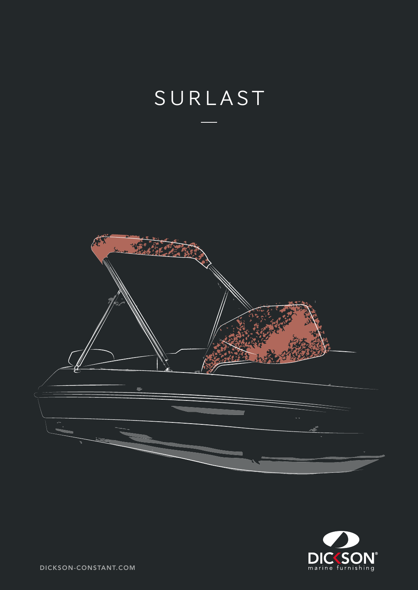



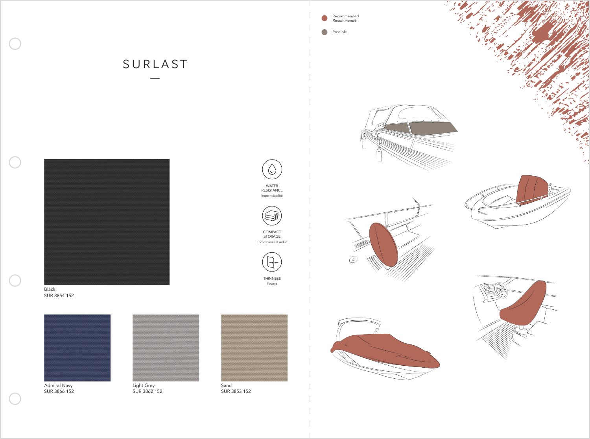











WATER RESISTANCE Imperméabilité

 $\bigcirc$ 

COMPACT STORAGE Encombrement réduit



Finesse



SUR 3853 152







Light Grey SUR 3862 152

Admiral Navy SUR 3866 152



 $\begin{array}{c} \begin{array}{c} \end{array} \end{array}$ 

 $\mathcal{L}$ 

 $\mathcal{L}$